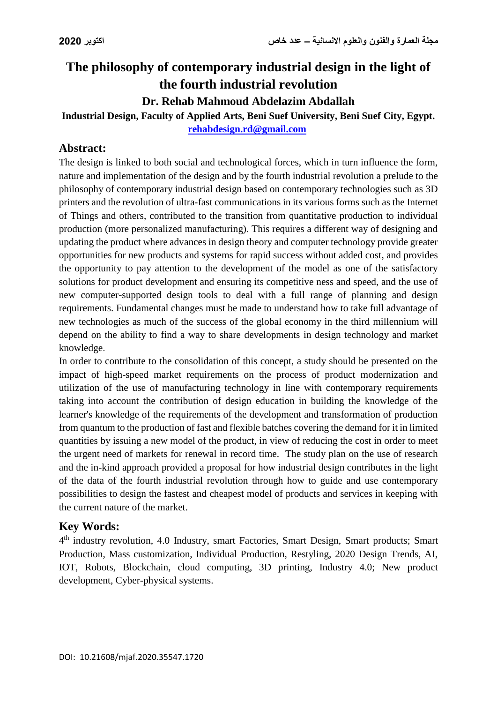# **The philosophy of contemporary industrial design in the light of the fourth industrial revolution**

## **Dr. Rehab Mahmoud Abdelazim Abdallah**

#### **Industrial Design, Faculty of Applied Arts, Beni Suef University, Beni Suef City, Egypt. [rehabdesign.rd@gmail.com](mailto:rehabdesign.rd@gmail.com)**

## **Abstract:**

The design is linked to both social and technological forces, which in turn influence the form, nature and implementation of the design and by the fourth industrial revolution a prelude to the philosophy of contemporary industrial design based on contemporary technologies such as 3D printers and the revolution of ultra-fast communications in its various forms such as the Internet of Things and others, contributed to the transition from quantitative production to individual production (more personalized manufacturing). This requires a different way of designing and updating the product where advances in design theory and computer technology provide greater opportunities for new products and systems for rapid success without added cost, and provides the opportunity to pay attention to the development of the model as one of the satisfactory solutions for product development and ensuring its competitive ness and speed, and the use of new computer-supported design tools to deal with a full range of planning and design requirements. Fundamental changes must be made to understand how to take full advantage of new technologies as much of the success of the global economy in the third millennium will depend on the ability to find a way to share developments in design technology and market knowledge.

In order to contribute to the consolidation of this concept, a study should be presented on the impact of high-speed market requirements on the process of product modernization and utilization of the use of manufacturing technology in line with contemporary requirements taking into account the contribution of design education in building the knowledge of the learner's knowledge of the requirements of the development and transformation of production from quantum to the production of fast and flexible batches covering the demand for it in limited quantities by issuing a new model of the product, in view of reducing the cost in order to meet the urgent need of markets for renewal in record time. The study plan on the use of research and the in-kind approach provided a proposal for how industrial design contributes in the light of the data of the fourth industrial revolution through how to guide and use contemporary possibilities to design the fastest and cheapest model of products and services in keeping with the current nature of the market.

## **Key Words:**

4<sup>th</sup> industry revolution, 4.0 Industry, smart Factories, Smart Design, Smart products; Smart Production, Mass customization, Individual Production, Restyling, 2020 Design Trends, AI, IOT, Robots, Blockchain, cloud computing, 3D printing*,* Industry 4.0; New product development, Cyber-physical systems.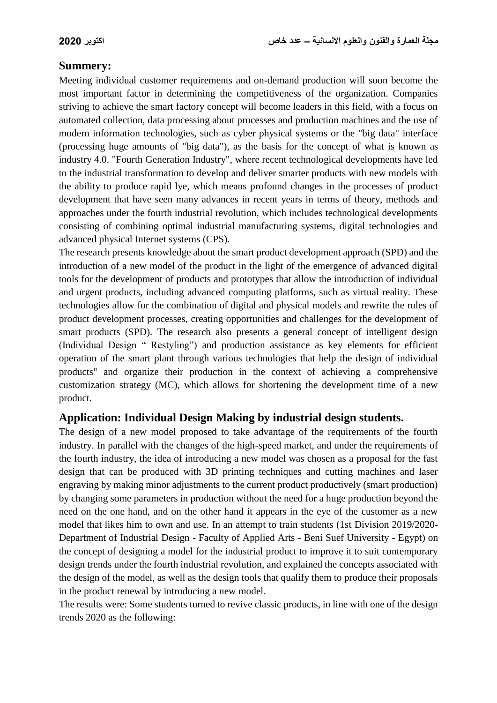### **Summery:**

Meeting individual customer requirements and on-demand production will soon become the most important factor in determining the competitiveness of the organization. Companies striving to achieve the smart factory concept will become leaders in this field, with a focus on automated collection, data processing about processes and production machines and the use of modern information technologies, such as cyber physical systems or the "big data" interface (processing huge amounts of "big data"), as the basis for the concept of what is known as industry 4.0. "Fourth Generation Industry", where recent technological developments have led to the industrial transformation to develop and deliver smarter products with new models with the ability to produce rapid lye, which means profound changes in the processes of product development that have seen many advances in recent years in terms of theory, methods and approaches under the fourth industrial revolution, which includes technological developments consisting of combining optimal industrial manufacturing systems, digital technologies and advanced physical Internet systems (CPS).

The research presents knowledge about the smart product development approach (SPD) and the introduction of a new model of the product in the light of the emergence of advanced digital tools for the development of products and prototypes that allow the introduction of individual and urgent products, including advanced computing platforms, such as virtual reality. These technologies allow for the combination of digital and physical models and rewrite the rules of product development processes, creating opportunities and challenges for the development of smart products (SPD). The research also presents a general concept of intelligent design (Individual Design " Restyling") and production assistance as key elements for efficient operation of the smart plant through various technologies that help the design of individual products" and organize their production in the context of achieving a comprehensive customization strategy (MC), which allows for shortening the development time of a new product.

## **Application: Individual Design Making by industrial design students.**

The design of a new model proposed to take advantage of the requirements of the fourth industry. In parallel with the changes of the high-speed market, and under the requirements of the fourth industry, the idea of introducing a new model was chosen as a proposal for the fast design that can be produced with 3D printing techniques and cutting machines and laser engraving by making minor adjustments to the current product productively (smart production) by changing some parameters in production without the need for a huge production beyond the need on the one hand, and on the other hand it appears in the eye of the customer as a new model that likes him to own and use. In an attempt to train students (1st Division 2019/2020- Department of Industrial Design - Faculty of Applied Arts - Beni Suef University - Egypt) on the concept of designing a model for the industrial product to improve it to suit contemporary design trends under the fourth industrial revolution, and explained the concepts associated with the design of the model, as well as the design tools that qualify them to produce their proposals in the product renewal by introducing a new model.

The results were: Some students turned to revive classic products, in line with one of the design trends 2020 as the following: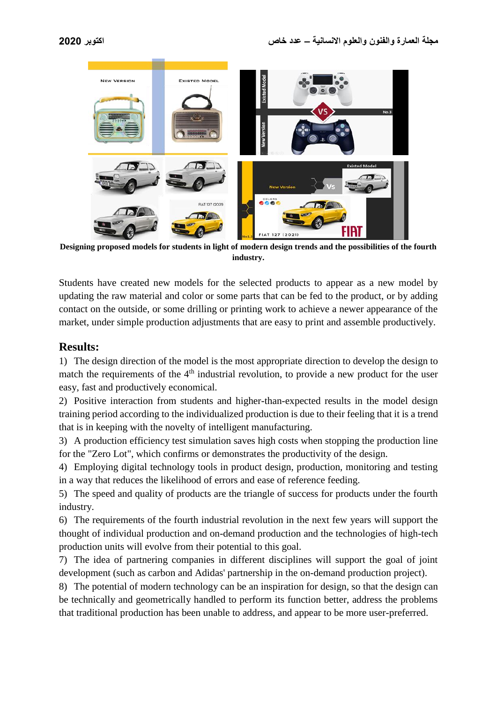

**Designing proposed models for students in light of modern design trends and the possibilities of the fourth industry.**

Students have created new models for the selected products to appear as a new model by updating the raw material and color or some parts that can be fed to the product, or by adding contact on the outside, or some drilling or printing work to achieve a newer appearance of the market, under simple production adjustments that are easy to print and assemble productively.

## **Results:**

1) The design direction of the model is the most appropriate direction to develop the design to match the requirements of the  $4<sup>th</sup>$  industrial revolution, to provide a new product for the user easy, fast and productively economical.

2) Positive interaction from students and higher-than-expected results in the model design training period according to the individualized production is due to their feeling that it is a trend that is in keeping with the novelty of intelligent manufacturing.

3) A production efficiency test simulation saves high costs when stopping the production line for the "Zero Lot", which confirms or demonstrates the productivity of the design.

4) Employing digital technology tools in product design, production, monitoring and testing in a way that reduces the likelihood of errors and ease of reference feeding.

5) The speed and quality of products are the triangle of success for products under the fourth industry.

6) The requirements of the fourth industrial revolution in the next few years will support the thought of individual production and on-demand production and the technologies of high-tech production units will evolve from their potential to this goal.

7) The idea of partnering companies in different disciplines will support the goal of joint development (such as carbon and Adidas' partnership in the on-demand production project).

8) The potential of modern technology can be an inspiration for design, so that the design can be technically and geometrically handled to perform its function better, address the problems that traditional production has been unable to address, and appear to be more user-preferred.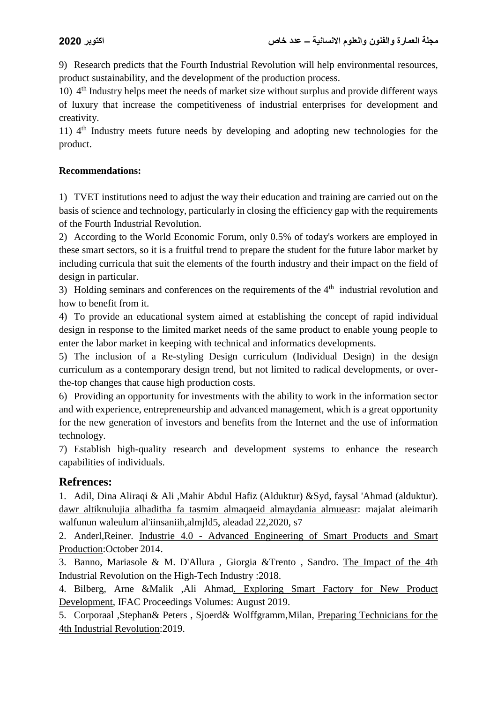9) Research predicts that the Fourth Industrial Revolution will help environmental resources, product sustainability, and the development of the production process.

10) 4 th Industry helps meet the needs of market size without surplus and provide different ways of luxury that increase the competitiveness of industrial enterprises for development and creativity.

11) 4<sup>th</sup> Industry meets future needs by developing and adopting new technologies for the product.

#### **Recommendations:**

1) TVET institutions need to adjust the way their education and training are carried out on the basis of science and technology, particularly in closing the efficiency gap with the requirements of the Fourth Industrial Revolution.

2) According to the World Economic Forum, only 0.5% of today's workers are employed in these smart sectors, so it is a fruitful trend to prepare the student for the future labor market by including curricula that suit the elements of the fourth industry and their impact on the field of design in particular.

3) Holding seminars and conferences on the requirements of the  $4<sup>th</sup>$  industrial revolution and how to benefit from it.

4) To provide an educational system aimed at establishing the concept of rapid individual design in response to the limited market needs of the same product to enable young people to enter the labor market in keeping with technical and informatics developments.

5) The inclusion of a Re-styling Design curriculum (Individual Design) in the design curriculum as a contemporary design trend, but not limited to radical developments, or overthe-top changes that cause high production costs.

6) Providing an opportunity for investments with the ability to work in the information sector and with experience, entrepreneurship and advanced management, which is a great opportunity for the new generation of investors and benefits from the Internet and the use of information technology.

7) Establish high-quality research and development systems to enhance the research capabilities of individuals.

## **Refrences:**

1. Adil, Dina Aliraqi & Ali ,Mahir Abdul Hafiz (Alduktur) &Syd, faysal 'Ahmad (alduktur). dawr altiknulujia alhaditha fa tasmim almaqaeid almaydania almueasr: majalat aleimarih walfunun waleulum al'iinsaniih,almjld5, aleadad 22,2020, s7

2. Anderl,Reiner. Industrie 4.0 - Advanced Engineering of Smart Products and Smart Production:October 2014.

3. Banno, Mariasole & M. D'Allura , Giorgia &Trento , Sandro. The Impact of the 4th Industrial Revolution on the High-Tech Industry :2018.

4. Bilberg, Arne &Malik ,Ali Ahmad. Exploring Smart Factory for New Product Development, IFAC Proceedings Volumes: August 2019.

5. Corporaal ,Stephan& Peters , Sjoerd& Wolffgramm,Milan, Preparing Technicians for the 4th Industrial Revolution:2019.